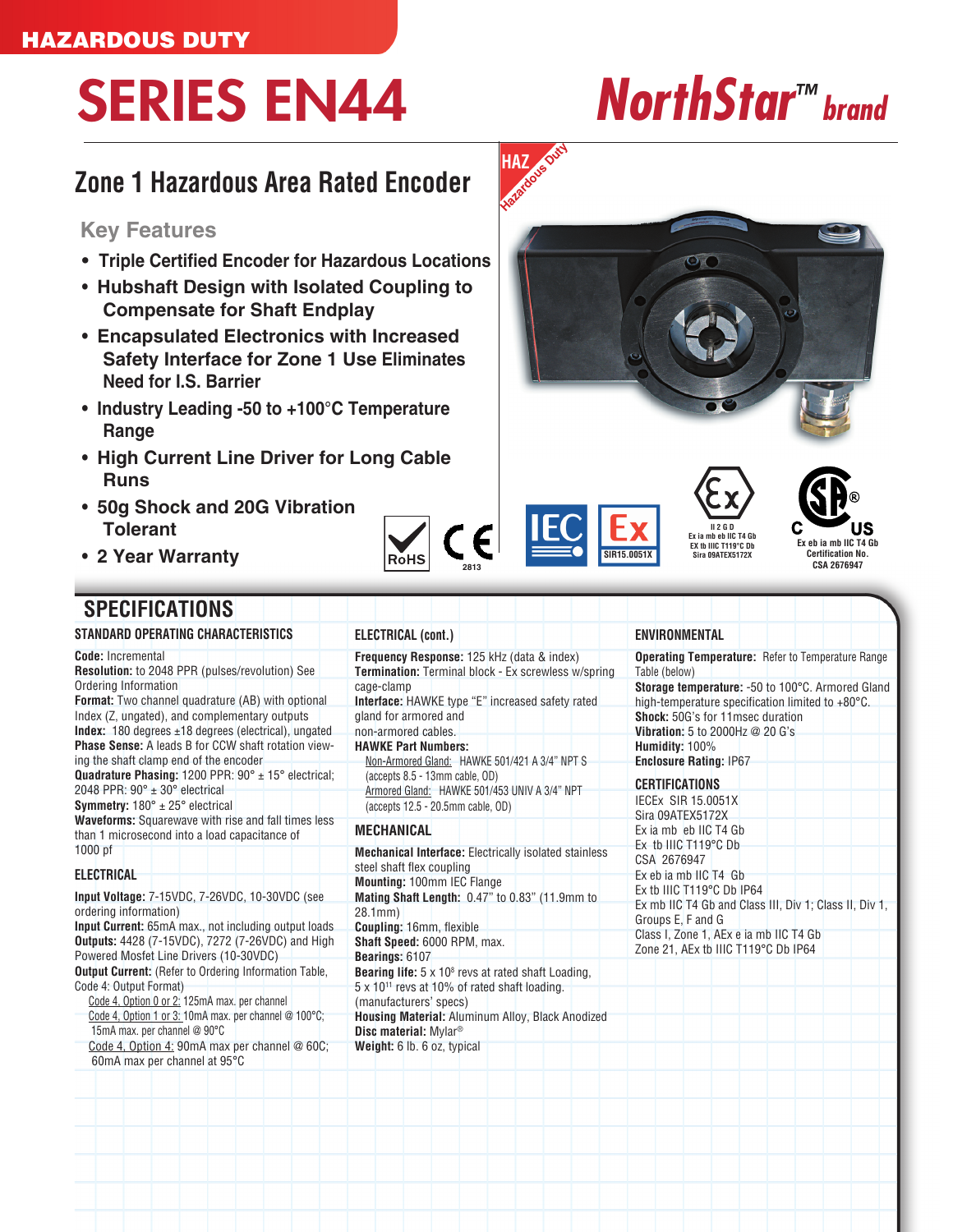# SERIES EN44 *NorthStar™ brand*

## **Zone 1 Hazardous Area Rated Encoder**

### **Key Features**

- **Triple Certified Encoder for Hazardous Locations**
- **Hubshaft Design with Isolated Coupling to Compensate for Shaft Endplay**
- **Encapsulated Electronics with Increased Safety Interface for Zone 1 Use Eliminates Need for I.S. Barrier**
- **Industry Leading -50 to +100°C Temperature Range**
- **High Current Line Driver for Long Cable Runs**
- **50g Shock and 20G Vibration Tolerant**
- **2 Year Warranty**

## **SPECIFICATIONS**

**STANDARD OPERATING CHARACTERISTICS**

**Code:** Incremental **Resolution:** to 2048 PPR (pulses/revolution) See Ordering Information **Format:** Two channel quadrature (AB) with optional Index (Z, ungated), and complementary outputs **Index:** 180 degrees ±18 degrees (electrical), ungated **Phase Sense:** A leads B for CCW shaft rotation viewing the shaft clamp end of the encoder **Quadrature Phasing:** 1200 PPR: 90° ± 15° electrical; 2048 PPR:  $90^\circ \pm 30^\circ$  electrical **Symmetry:** 180° ± 25° electrical **Waveforms:** Squarewave with rise and fall times less than 1 microsecond into a load capacitance of 1000 pf

### **ELECTRICAL**

**Input Voltage:** 7-15VDC, 7-26VDC, 10-30VDC (see ordering information) **Input Current:** 65mA max., not including output loads **Outputs:** 4428 (7-15VDC), 7272 (7-26VDC) and High Powered Mosfet Line Drivers (10-30VDC) **Output Current:** (Refer to Ordering Information Table, Code 4: Output Format) Code 4, Option 0 or 2: 125mA max. per channel Code 4, Option 1 or 3: 10mA max. per channel @ 100°C; 15mA max. per channel @ 90°C

Code 4, Option 4: 90mA max per channel @ 60C; 60mA max per channel at 95°C

**Frequency Response:** 125 kHz (data & index) **Termination:** Terminal block - Ex screwless w/spring cage-clamp **Interface:** HAWKE type "E" increased safety rated gland for armored and

non-armored cables. **HAWKE Part Numbers:**

**ELECTRICAL (cont.)**

Non-Armored Gland: HAWKE 501/421 A 3/4" NPT S (accepts 8.5 - 13mm cable, OD) Armored Gland: HAWKE 501/453 UNIV A 3/4" NPT (accepts 12.5 - 20.5mm cable, OD)

#### **MECHANICAL**

**Mechanical Interface:** Electrically isolated stainless steel shaft flex coupling **Mounting:** 100mm IEC Flange **Mating Shaft Length:** 0.47" to 0.83" (11.9mm to 28.1mm) **Coupling:** 16mm, flexible **Shaft Speed:** 6000 RPM, max. **Bearings:** 6107 **Bearing life:**  $5 \times 10^8$  revs at rated shaft Loading, 5 x 1011 revs at 10% of rated shaft loading. (manufacturers' specs) **Housing Material:** Aluminum Alloy, Black Anodized **Disc material:** Mylar® **Weight:** 6 lb. 6 oz, typical



**Operating Temperature:** Refer to Temperature Range Table (below) **Storage temperature:** -50 to 100°C. Armored Gland high-temperature specification limited to +80°C. **Shock:** 50G's for 11msec duration

**Vibration:** 5 to 2000Hz @ 20 G's **Humidity:** 100%

**Enclosure Rating:** IP67 **CERTIFICATIONS**

IECEx SIR 15.0051X Sira 09ATEX5172X Ex ia mb eb IIC T4 Gb Ex tb IIIC T119°C Db CSA 2676947 Ex eb ia mb IIC T4 Gb Ex tb IIIC T119°C Db IP64 Ex mb IIC T4 Gb and Class III, Div 1; Class II, Div 1, Groups E, F and G Class I, Zone 1, AEx e ia mb IIC T4 Gb Zone 21, AEx tb IIIC T119°C Db IP64



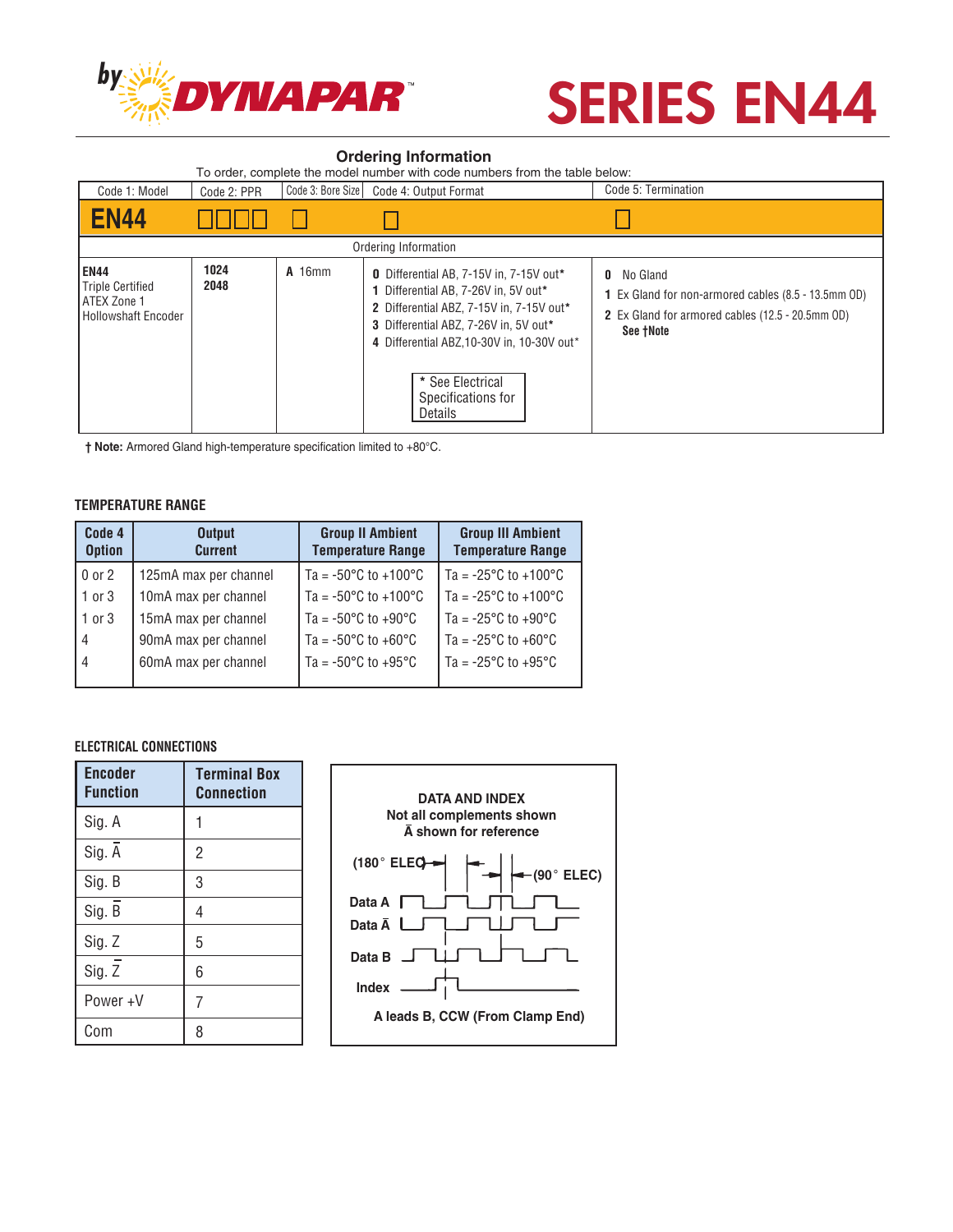

## **SERIES EN44**

#### **Ordering Information**

| To order, complete the model number with code numbers from the table below:                |              |                   |                                                                                                                                                                                                                                                                        |                                                                                                                                       |  |  |  |
|--------------------------------------------------------------------------------------------|--------------|-------------------|------------------------------------------------------------------------------------------------------------------------------------------------------------------------------------------------------------------------------------------------------------------------|---------------------------------------------------------------------------------------------------------------------------------------|--|--|--|
| Code 1: Model                                                                              | Code 2: PPR  | Code 3: Bore Size | Code 4: Output Format                                                                                                                                                                                                                                                  | Code 5: Termination                                                                                                                   |  |  |  |
| <b>EN44</b>                                                                                |              |                   |                                                                                                                                                                                                                                                                        |                                                                                                                                       |  |  |  |
| Ordering Information                                                                       |              |                   |                                                                                                                                                                                                                                                                        |                                                                                                                                       |  |  |  |
| <b>EN44</b><br><b>Triple Certified</b><br><b>ATEX Zone 1</b><br><b>Hollowshaft Encoder</b> | 1024<br>2048 | <b>A</b> 16mm     | 0 Differential AB, 7-15V in, 7-15V out*<br>1 Differential AB, 7-26V in, 5V out*<br>2 Differential ABZ, 7-15V in, 7-15V out*<br>3 Differential ABZ, 7-26V in, 5V out*<br>4 Differential ABZ.10-30V in. 10-30V out*<br>* See Electrical<br>Specifications for<br>Details | No Gland<br>0<br>1 Ex Gland for non-armored cables (8.5 - 13.5mm OD)<br>2 Ex Gland for armored cables (12.5 - 20.5mm OD)<br>See †Note |  |  |  |

**† Note:** Armored Gland high-temperature specification limited to +80°C.

#### **TEMPERATURE RANGE**

| Code 4<br><b>Option</b> | <b>Output</b><br><b>Current</b> | <b>Group II Ambient</b><br><b>Temperature Range</b> | <b>Group III Ambient</b><br><b>Temperature Range</b> |
|-------------------------|---------------------------------|-----------------------------------------------------|------------------------------------------------------|
| 0 or 2                  | 125mA max per channel           | $\sqrt{7a}$ = -50°C to +100°C                       | Ta = $-25^{\circ}$ C to $+100^{\circ}$ C             |
| $1$ or $3$              | 10mA max per channel            | $T_a = -50^{\circ}$ C to +100 $^{\circ}$ C          | Ta = $-25^{\circ}$ C to $+100^{\circ}$ C             |
| 1 or 3                  | 15mA max per channel            | Ta = $-50^{\circ}$ C to $+90^{\circ}$ C             | Ta = -25°C to +90°C                                  |
| 4                       | 90mA max per channel            | Ta = $-50^{\circ}$ C to $+60^{\circ}$ C             | Ta = -25 $^{\circ}$ C to +60 $^{\circ}$ C            |
| 4                       | 60mA max per channel            | $T_a = -50^{\circ}$ C to $+95^{\circ}$ C            | $T = -25^{\circ}C$ to $+95^{\circ}C$                 |
|                         |                                 |                                                     |                                                      |

#### **ELECTRICAL CONNECTIONS**

| <b>Encoder</b><br><b>Function</b> | <b>Terminal Box</b><br><b>Connection</b> |
|-----------------------------------|------------------------------------------|
| Sig. A                            |                                          |
| Sig. A                            | $\overline{2}$                           |
| Sig. B                            | 3                                        |
| Sig. B                            | 4                                        |
| Sig. Z                            | 5                                        |
| $Sig. \bar{Z}$                    | 6                                        |
| Power+V                           | 7                                        |
| Com                               | 8                                        |